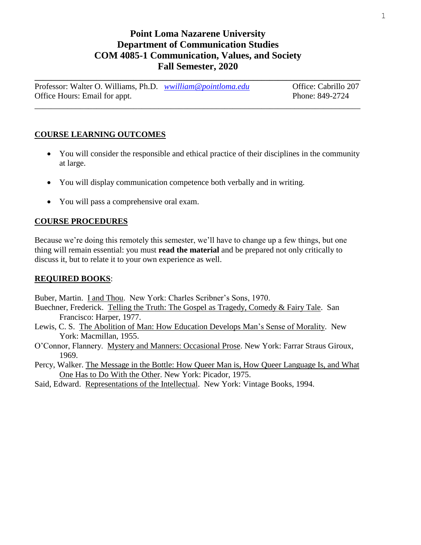# **Point Loma Nazarene University Department of Communication Studies COM 4085-1 Communication, Values, and Society Fall Semester, 2020**

Professor: Walter O. Williams, Ph.D. *[wwilliam@pointloma.edu](mailto:wwilliam@pointloma.edu)* Office: Cabrillo 207 Office Hours: Email for appt. Phone: 849-2724

\_\_\_\_\_\_\_\_\_\_\_\_\_\_\_\_\_\_\_\_\_\_\_\_\_\_\_\_\_\_\_\_\_\_\_\_\_\_\_\_\_\_\_\_\_\_\_\_\_\_\_\_\_\_\_\_\_\_\_\_\_\_\_\_\_\_\_\_\_\_\_\_\_\_\_\_\_\_\_

**\_\_\_\_\_\_\_\_\_\_\_\_\_\_\_\_\_\_\_\_\_\_\_\_\_\_\_\_\_\_\_\_\_\_\_\_\_\_\_\_\_\_\_\_\_\_\_\_\_\_\_\_\_\_\_\_\_\_\_\_\_\_\_\_\_\_\_\_\_\_\_\_\_\_\_\_\_\_\_**

## **COURSE LEARNING OUTCOMES**

- You will consider the responsible and ethical practice of their disciplines in the community at large.
- You will display communication competence both verbally and in writing.
- You will pass a comprehensive oral exam.

## **COURSE PROCEDURES**

Because we're doing this remotely this semester, we'll have to change up a few things, but one thing will remain essential: you must **read the material** and be prepared not only critically to discuss it, but to relate it to your own experience as well.

#### **REQUIRED BOOKS**:

Buber, Martin. I and Thou. New York: Charles Scribner's Sons, 1970.

- Buechner, Frederick. Telling the Truth: The Gospel as Tragedy, Comedy & Fairy Tale. San Francisco: Harper, 1977.
- Lewis, C. S. The Abolition of Man: How Education Develops Man's Sense of Morality. New York: Macmillan, 1955.
- O'Connor, Flannery. Mystery and Manners: Occasional Prose. New York: Farrar Straus Giroux, 1969.
- Percy, Walker. The Message in the Bottle: How Queer Man is, How Queer Language Is, and What One Has to Do With the Other. New York: Picador, 1975.
- Said, Edward. Representations of the Intellectual. New York: Vintage Books, 1994.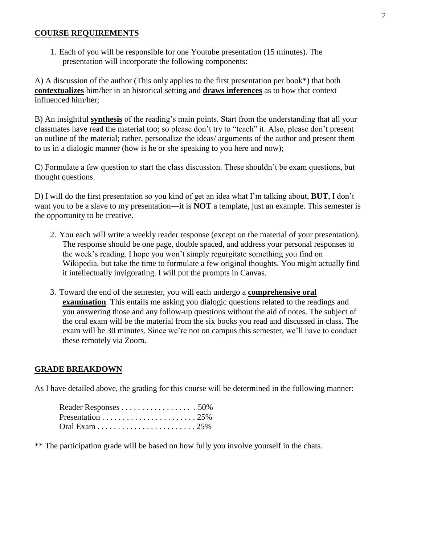#### **COURSE REQUIREMENTS**

1. Each of you will be responsible for one Youtube presentation (15 minutes). The presentation will incorporate the following components:

A) A discussion of the author (This only applies to the first presentation per book\*) that both **contextualizes** him/her in an historical setting and **draws inferences** as to how that context influenced him/her;

B) An insightful **synthesis** of the reading's main points. Start from the understanding that all your classmates have read the material too; so please don't try to "teach" it. Also, please don't present an outline of the material; rather, personalize the ideas/ arguments of the author and present them to us in a dialogic manner (how is he or she speaking to you here and now);

C) Formulate a few question to start the class discussion. These shouldn't be exam questions, but thought questions.

D) I will do the first presentation so you kind of get an idea what I'm talking about, **BUT**, I don't want you to be a slave to my presentation—it is **NOT** a template, just an example. This semester is the opportunity to be creative.

- 2. You each will write a weekly reader response (except on the material of your presentation). The response should be one page, double spaced, and address your personal responses to the week's reading. I hope you won't simply regurgitate something you find on Wikipedia, but take the time to formulate a few original thoughts. You might actually find it intellectually invigorating. I will put the prompts in Canvas.
- 3. Toward the end of the semester, you will each undergo a **comprehensive oral examination**. This entails me asking you dialogic questions related to the readings and you answering those and any follow-up questions without the aid of notes. The subject of the oral exam will be the material from the six books you read and discussed in class. The exam will be 30 minutes. Since we're not on campus this semester, we'll have to conduct these remotely via Zoom.

#### **GRADE BREAKDOWN**

As I have detailed above, the grading for this course will be determined in the following manner:

\*\* The participation grade will be based on how fully you involve yourself in the chats.